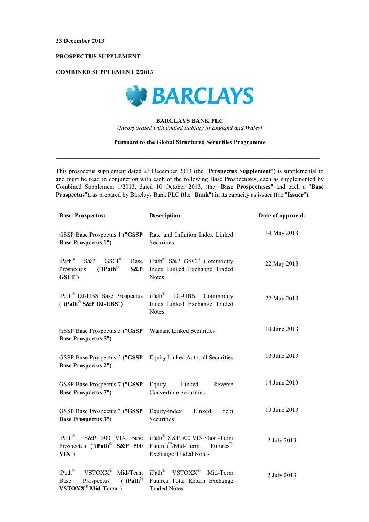# PROSPECTUS SUPPLEMENT

## **COMBINED SUPPLEMENT 2/2013**



# **BARCLAYS BANK PLC** (Incorporated with limited liability in England and Wales)

## **Pursuant to the Global Structured Securities Programme**

This prospectus supplement dated 23 December 2013 (the "Prospectus Supplement") is supplemental to and must be read in conjunction with each of the following Base Prospectuses, each as supplemented by Combined Supplement 1/2013, dated 10 October 2013, (the "Base Prospectuses" and each a "Base **Prospectus"**), as prepared by Barclays Bank PLC (the "**Bank**") in its capacity as issuer (the "**Issuer**").

| <b>Base Prospectus:</b>                                                                                            | <b>Description:</b>                                                                                                                 | Date of approval: |
|--------------------------------------------------------------------------------------------------------------------|-------------------------------------------------------------------------------------------------------------------------------------|-------------------|
| GSSP Base Prospectus 1 ("GSSP<br><b>Base Prospectus 1")</b>                                                        | Rate and Inflation Index Linked<br>Securities                                                                                       | 14 May 2013       |
| $iPath^{\circledR}$<br>$GSCI^{\circledR}$<br>S&P<br>Base<br>("iPath <sup>®</sup> )<br>Prospectus<br>S&P<br>GSCI")  | iPath <sup>®</sup> S&P GSCI <sup>®</sup> Commodity<br>Index Linked Exchange Traded<br><b>Notes</b>                                  | 22 May 2013       |
| iPath <sup>®</sup> DJ-UBS Base Prospectus<br>("iPath® S&P DJ-UBS")                                                 | $iPath^{\circledR}$<br>DJ-UBS<br>Commodity<br>Index Linked Exchange Traded<br><b>Notes</b>                                          | 22 May 2013       |
| GSSP Base Prospectus 5 ("GSSP<br><b>Base Prospectus 5")</b>                                                        | Warrant Linked Securities                                                                                                           | 10 June 2013      |
| GSSP Base Prospectus 2 ("GSSP<br><b>Base Prospectus 2")</b>                                                        | <b>Equity Linked Autocall Securities</b>                                                                                            | 10 June 2013      |
| GSSP Base Prospectus 7 ("GSSP<br><b>Base Prospectus 7")</b>                                                        | Equity<br>Linked<br>Reverse<br><b>Convertible Securities</b>                                                                        | 14 June 2013      |
| GSSP Base Prospectus 3 ("GSSP<br><b>Base Prospectus 3")</b>                                                        | Equity-index<br>Linked<br>debt<br>Securities                                                                                        | 19 June 2013      |
| $iPath^{\circledR}$<br>S&P 500 VIX Base<br>Prospectus ("iPath <sup>®</sup> S&P 500<br>VIX'                         | iPath <sup>®</sup> S&P 500 VIX Short-Term<br>$Future^{\text{TM}}$<br>Futures <sup>™</sup> /Mid-Term<br><b>Exchange Traded Notes</b> | 2 July 2013       |
| iPath®<br>VSTOXX <sup>®</sup><br>Mid-Term<br>("iPath <sup>®</sup> )<br>Prospectus<br>Base<br>$VSTOXX^@$ Mid-Term") | iPath <sup>®</sup> VSTOXX <sup>®</sup><br>Mid-Term<br>Futures Total Return Exchange<br><b>Traded Notes</b>                          | 2 July 2013       |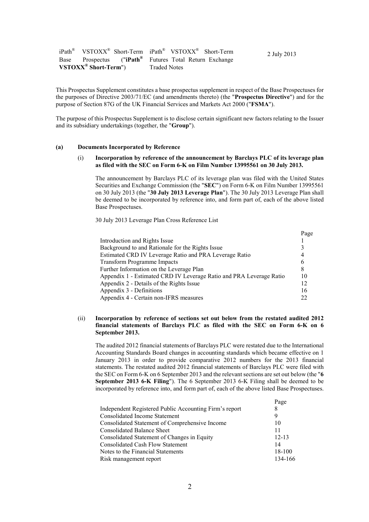|                                  | iPath <sup>®</sup> VSTOXX <sup>®</sup> Short-Term iPath <sup>®</sup> VSTOXX <sup>®</sup> Short-Term<br>2 July 2013 |  |
|----------------------------------|--------------------------------------------------------------------------------------------------------------------|--|
|                                  | Base Prospectus ("iPath <sup>®</sup> Futures Total Return Exchange                                                 |  |
| VSTOXX <sup>®</sup> Short-Term") | <b>Traded Notes</b>                                                                                                |  |

This Prospectus Supplement constitutes a base prospectus supplement in respect of the Base Prospectuses for the purposes of Directive 2003/71/EC (and amendments thereto) (the "Prospectus Directive") and for the purpose of Section 87G of the UK Financial Services and Markets Act 2000 ("FSMA").

The purpose of this Prospectus Supplement is to disclose certain significant new factors relating to the Issuer and its subsidiary undertakings (together, the "Group").

#### $(a)$ **Documents Incorporated by Reference**

## Incorporation by reference of the announcement by Barclays PLC of its leverage plan  $(i)$ as filed with the SEC on Form 6-K on Film Number 13995561 on 30 July 2013.

The announcement by Barclays PLC of its leverage plan was filed with the United States Securities and Exchange Commission (the "SEC") on Form 6-K on Film Number 13995561 on 30 July 2013 (the "30 July 2013 Leverage Plan"). The 30 July 2013 Leverage Plan shall be deemed to be incorporated by reference into, and form part of, each of the above listed Base Prospectuses.

30 July 2013 Leverage Plan Cross Reference List

|                                                                     | Page |
|---------------------------------------------------------------------|------|
| Introduction and Rights Issue                                       |      |
| Background to and Rationale for the Rights Issue                    |      |
| Estimated CRD IV Leverage Ratio and PRA Leverage Ratio              | 4    |
| <b>Transform Programme Impacts</b>                                  | 6    |
| Further Information on the Leverage Plan                            | 8    |
| Appendix 1 - Estimated CRD IV Leverage Ratio and PRA Leverage Ratio | 10   |
| Appendix 2 - Details of the Rights Issue                            | 12   |
| Appendix 3 - Definitions                                            | 16   |
| Appendix 4 - Certain non-IFRS measures                              | 22   |

## $(ii)$ Incorporation by reference of sections set out below from the restated audited 2012 financial statements of Barclays PLC as filed with the SEC on Form 6-K on 6 September 2013.

The audited 2012 financial statements of Barclays PLC were restated due to the International Accounting Standards Board changes in accounting standards which became effective on 1 January 2013 in order to provide comparative 2012 numbers for the 2013 financial statements. The restated audited 2012 financial statements of Barclays PLC were filed with the SEC on Form 6-K on 6 September 2013 and the relevant sections are set out below (the "6" September 2013 6-K Filing"). The 6 September 2013 6-K Filing shall be deemed to be incorporated by reference into, and form part of, each of the above listed Base Prospectuses.

 $D_{000}$ 

|                                                        | a agu      |
|--------------------------------------------------------|------------|
| Independent Registered Public Accounting Firm's report | 8          |
| <b>Consolidated Income Statement</b>                   | 9          |
| Consolidated Statement of Comprehensive Income         | 10         |
| <b>Consolidated Balance Sheet</b>                      | 11         |
| Consolidated Statement of Changes in Equity            | $12 - 13$  |
| <b>Consolidated Cash Flow Statement</b>                | 14         |
| Notes to the Financial Statements                      | $18 - 100$ |
| Risk management report                                 | 134-166    |
|                                                        |            |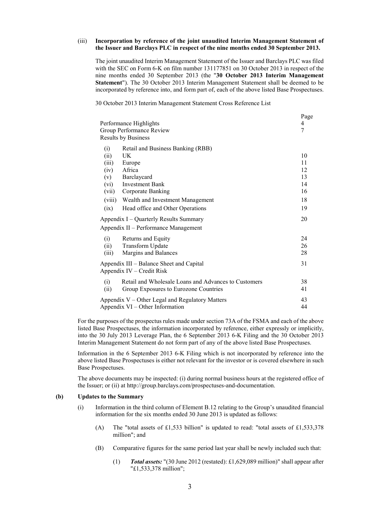## Incorporation by reference of the joint unaudited Interim Management Statement of  $(iii)$ the Issuer and Barclays PLC in respect of the nine months ended 30 September 2013.

The joint unaudited Interim Management Statement of the Issuer and Barclays PLC was filed with the SEC on Form 6-K on film number 131177851 on 30 October 2013 in respect of the nine months ended 30 September 2013 (the "30 October 2013 Interim Management Statement"). The 30 October 2013 Interim Management Statement shall be deemed to be incorporated by reference into, and form part of, each of the above listed Base Prospectuses.

30 October 2013 Interim Management Statement Cross Reference List

| Performance Highlights<br>Group Performance Review<br><b>Results by Business</b> | rage<br>4<br>7                                                                                                                                                                                    |                                              |
|----------------------------------------------------------------------------------|---------------------------------------------------------------------------------------------------------------------------------------------------------------------------------------------------|----------------------------------------------|
| (i)<br>(ii)<br>(iii)<br>(iv)<br>(v)<br>(vi)<br>(vii)<br>(viii)<br>(ix)           | Retail and Business Banking (RBB)<br>UK<br>Europe<br>Africa<br>Barclaycard<br><b>Investment Bank</b><br>Corporate Banking<br>Wealth and Investment Management<br>Head office and Other Operations | 10<br>11<br>12<br>13<br>14<br>16<br>18<br>19 |
|                                                                                  | Appendix I – Quarterly Results Summary<br>Appendix II – Performance Management                                                                                                                    | 20                                           |
| (i)<br>(ii)<br>(iii)                                                             | Returns and Equity<br>Transform Update<br>Margins and Balances                                                                                                                                    | 24<br>26<br>28                               |
|                                                                                  | Appendix III – Balance Sheet and Capital<br>Appendix IV – Credit Risk                                                                                                                             | 31                                           |
| (i)<br>(ii)                                                                      | Retail and Wholesale Loans and Advances to Customers<br>Group Exposures to Eurozone Countries                                                                                                     | 38<br>41                                     |
|                                                                                  | Appendix V – Other Legal and Regulatory Matters<br>Appendix VI – Other Information                                                                                                                | 43<br>44                                     |

For the purposes of the prospectus rules made under section 73A of the FSMA and each of the above listed Base Prospectuses, the information incorporated by reference, either expressly or implicitly, into the 30 July 2013 Leverage Plan, the 6 September 2013 6-K Filing and the 30 October 2013 Interim Management Statement do not form part of any of the above listed Base Prospectuses.

Information in the 6 September 2013 6-K Filing which is not incorporated by reference into the above listed Base Prospectuses is either not relevant for the investor or is covered elsewhere in such Base Prospectuses.

The above documents may be inspected: (i) during normal business hours at the registered office of the Issuer; or (ii) at http://group.barclays.com/prospectuses-and-documentation.

### $(b)$ **Updates to the Summary**

- Information in the third column of Element B.12 relating to the Group's unaudited financial  $(i)$ information for the six months ended 30 June 2013 is updated as follows:
	- The "total assets of £1,533 billion" is updated to read: "total assets of £1,533,378  $(A)$ million"; and
	- (B) Comparative figures for the same period last year shall be newly included such that:
		- Total assets: "(30 June 2012 (restated): £1,629,089 million)" shall appear after  $(1)$ "£1,533,378 million";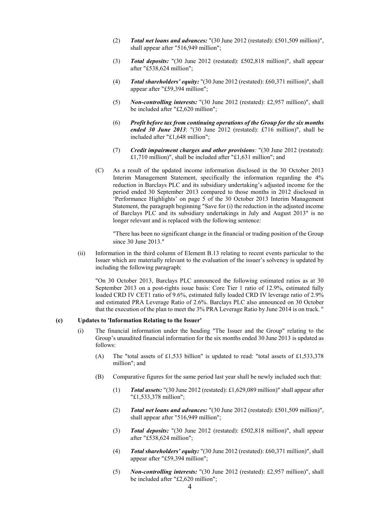- Total net loans and advances: "(30 June 2012 (restated): £501,509 million)".  $(2)$ shall appear after "516,949 million";
- **Total deposits:** "(30 June 2012 (restated): £502,818 million)", shall appear  $(3)$ after "£538.624 million":
- $(4)$ **Total shareholders' equity:** "(30 June 2012 (restated): £60,371 million)", shall appear after "£59,394 million";
- *Non-controlling interests:* "(30 June 2012 (restated): £2,957 million)", shall  $(5)$ be included after "£2,620 million":
- Profit before tax from continuing operations of the Group for the six months  $(6)$ ended 30 June 2013: "(30 June 2012 (restated): £716 million)", shall be included after "£1,648 million";
- $(7)$ Credit impairment charges and other provisions: "(30 June 2012 (restated): £1,710 million)", shall be included after "£1,631 million"; and
- $(C)$ As a result of the updated income information disclosed in the 30 October 2013 Interim Management Statement, specifically the information regarding the 4% reduction in Barclays PLC and its subsidiary undertaking's adjusted income for the period ended 30 September 2013 compared to those months in 2012 disclosed in 'Performance Highlights' on page 5 of the 30 October 2013 Interim Management Statement, the paragraph beginning "Save for (i) the reduction in the adjusted income of Barclays PLC and its subsidiary undertakings in July and August 2013" is no longer relevant and is replaced with the following sentence:

"There has been no significant change in the financial or trading position of the Group since 30 June 2013."

 $(ii)$ Information in the third column of Element B.13 relating to recent events particular to the Issuer which are materially relevant to the evaluation of the issuer's solvency is updated by including the following paragraph:

"On 30 October 2013, Barclays PLC announced the following estimated ratios as at 30 September 2013 on a post-rights issue basis: Core Tier 1 ratio of 12.9%, estimated fully loaded CRD IV CET1 ratio of 9.6%, estimated fully loaded CRD IV leverage ratio of 2.9% and estimated PRA Leverage Ratio of 2.6%. Barclays PLC also announced on 30 October that the execution of the plan to meet the 3% PRA Leverage Ratio by June 2014 is on track. "

### $\left( \mathbf{c} \right)$ **Updates to 'Information Relating to the Issuer'**

- $(i)$ The financial information under the heading "The Issuer and the Group" relating to the Group's unaudited financial information for the six months ended 30 June 2013 is updated as follows:
	- The "total assets of £1,533 billion" is updated to read: "total assets of £1,533,378  $(A)$ million"; and
	- (B) Comparative figures for the same period last year shall be newly included such that:
		- Total assets: "(30 June 2012 (restated): £1,629,089 million)" shall appear after  $(1)$ "£1,533,378 million";
		- Total net loans and advances: "(30 June 2012 (restated): £501,509 million)",  $(2)$ shall appear after "516,949 million";
		- Total deposits: "(30 June 2012 (restated): £502,818 million)", shall appear  $(3)$ after "£538,624 million";
		- Total shareholders' equity: "(30 June 2012 (restated): £60,371 million)", shall  $(4)$ appear after "£59,394 million";
		- $(5)$ *Non-controlling interests:* "(30 June 2012 (restated): £2,957 million)", shall be included after "£2,620 million";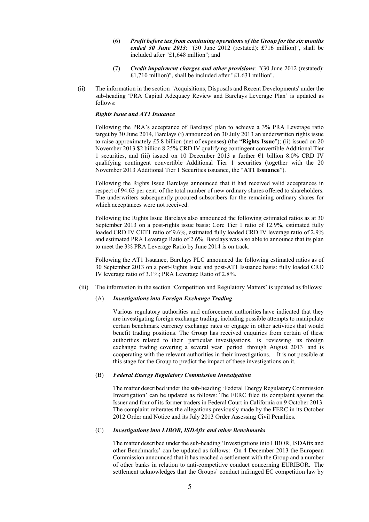- Profit before tax from continuing operations of the Group for the six months  $(6)$ ended 30 June 2013: "(30 June 2012 (restated): £716 million)", shall be included after "£1,648 million"; and
- Credit impairment charges and other provisions: "(30 June 2012 (restated):  $(7)$ £1,710 million)", shall be included after "£1,631 million".
- $(ii)$ The information in the section 'Acquisitions, Disposals and Recent Developments' under the sub-heading 'PRA Capital Adequacy Review and Barclays Leverage Plan' is updated as follows:

## **Rights Issue and AT1 Issuance**

Following the PRA's acceptance of Barclays' plan to achieve a 3% PRA Leverage ratio target by 30 June 2014, Barclays (i) announced on 30 July 2013 an underwritten rights issue to raise approximately £5.8 billion (net of expenses) (the "Rights Issue"); (ii) issued on 20 November 2013 \$2 billion 8.25% CRD IV qualifying contingent convertible Additional Tier 1 securities, and (iii) issued on 10 December 2013 a further  $\epsilon$ 1 billion 8.0% CRD IV qualifying contingent convertible Additional Tier 1 securities (together with the 20 November 2013 Additional Tier 1 Securities issuance, the "AT1 Issuance").

Following the Rights Issue Barclays announced that it had received valid acceptances in respect of 94.63 per cent. of the total number of new ordinary shares offered to shareholders. The underwriters subsequently procured subscribers for the remaining ordinary shares for which acceptances were not received.

Following the Rights Issue Barclays also announced the following estimated ratios as at 30 September 2013 on a post-rights issue basis: Core Tier 1 ratio of 12.9%, estimated fully loaded CRD IV CET1 ratio of 9.6%, estimated fully loaded CRD IV leverage ratio of 2.9% and estimated PRA Leverage Ratio of 2.6%. Barclays was also able to announce that its plan to meet the 3% PRA Leverage Ratio by June 2014 is on track.

Following the AT1 Issuance, Barclays PLC announced the following estimated ratios as of 30 September 2013 on a post-Rights Issue and post-AT1 Issuance basis: fully loaded CRD IV leverage ratio of 3.1%; PRA Leverage Ratio of 2.8%.

The information in the section 'Competition and Regulatory Matters' is updated as follows:  $(iii)$ 

#### $(A)$ **Investigations into Foreign Exchange Trading**

Various regulatory authorities and enforcement authorities have indicated that they are investigating foreign exchange trading, including possible attempts to manipulate certain benchmark currency exchange rates or engage in other activities that would benefit trading positions. The Group has received enquiries from certain of these authorities related to their particular investigations, is reviewing its foreign exchange trading covering a several year period through August 2013 and is cooperating with the relevant authorities in their investigations. It is not possible at this stage for the Group to predict the impact of these investigations on it.

#### $(B)$ **Federal Energy Regulatory Commission Investigation**

The matter described under the sub-heading 'Federal Energy Regulatory Commission Investigation' can be updated as follows: The FERC filed its complaint against the Issuer and four of its former traders in Federal Court in California on 9 October 2013. The complaint reiterates the allegations previously made by the FERC in its October 2012 Order and Notice and its July 2013 Order Assessing Civil Penalties.

### **Investigations into LIBOR, ISDAfix and other Benchmarks**  $(C)$

The matter described under the sub-heading 'Investigations into LIBOR, ISDAfix and other Benchmarks' can be updated as follows: On 4 December 2013 the European Commission announced that it has reached a settlement with the Group and a number of other banks in relation to anti-competitive conduct concerning EURIBOR. The settlement acknowledges that the Groups' conduct infringed EC competition law by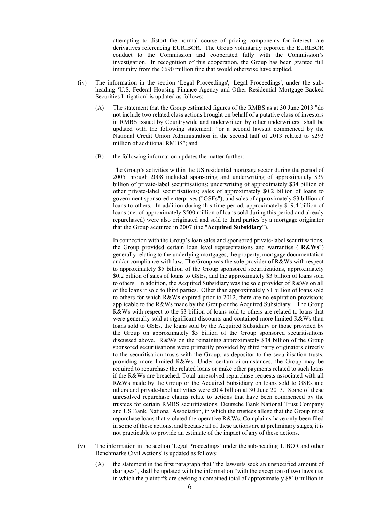attempting to distort the normal course of pricing components for interest rate derivatives referencing EURIBOR. The Group voluntarily reported the EURIBOR conduct to the Commission and cooperated fully with the Commission's investigation. In recognition of this cooperation, the Group has been granted full immunity from the  $6690$  million fine that would otherwise have applied.

- The information in the section 'Legal Proceedings', 'Legal Proceedings', under the sub- $(iv)$ heading 'U.S. Federal Housing Finance Agency and Other Residential Mortgage-Backed Securities Litigation' is updated as follows:
	- The statement that the Group estimated figures of the RMBS as at 30 June 2013 "do  $(A)$ not include two related class actions brought on behalf of a putative class of investors in RMBS issued by Countrywide and underwritten by other underwriters" shall be updated with the following statement: "or a second lawsuit commenced by the National Credit Union Administration in the second half of 2013 related to \$293 million of additional RMBS"; and
	- (B) the following information updates the matter further:

The Group's activities within the US residential mortgage sector during the period of 2005 through 2008 included sponsoring and underwriting of approximately \$39 billion of private-label securitisations; underwriting of approximately \$34 billion of other private-label securitisations; sales of approximately \$0.2 billion of loans to government sponsored enterprises ("GSEs"); and sales of approximately \$3 billion of loans to others. In addition during this time period, approximately \$19.4 billion of loans (net of approximately \$500 million of loans sold during this period and already repurchased) were also originated and sold to third parties by a mortgage originator that the Group acquired in 2007 (the "Acquired Subsidiary").

In connection with the Group's loan sales and sponsored private-label securitisations, the Group provided certain loan level representations and warranties ("R&Ws") generally relating to the underlying mortgages, the property, mortgage documentation and/or compliance with law. The Group was the sole provider of R&Ws with respect to approximately \$5 billion of the Group sponsored securitizations, approximately \$0.2 billion of sales of loans to GSEs, and the approximately \$3 billion of loans sold to others. In addition, the Acquired Subsidiary was the sole provider of R&Ws on all of the loans it sold to third parties. Other than approximately \$1 billion of loans sold to others for which R&Ws expired prior to 2012, there are no expiration provisions applicable to the R&Ws made by the Group or the Acquired Subsidiary. The Group R&Ws with respect to the \$3 billion of loans sold to others are related to loans that were generally sold at significant discounts and contained more limited R&Ws than loans sold to GSEs, the loans sold by the Acquired Subsidiary or those provided by the Group on approximately \$5 billion of the Group sponsored securitisations discussed above. R&Ws on the remaining approximately \$34 billion of the Group sponsored securitisations were primarily provided by third party originators directly to the securitisation trusts with the Group, as depositor to the securitisation trusts, providing more limited R&Ws. Under certain circumstances, the Group may be required to repurchase the related loans or make other payments related to such loans if the R&Ws are breached. Total unresolved repurchase requests associated with all R&Ws made by the Group or the Acquired Subsidiary on loans sold to GSEs and others and private-label activities were £0.4 billion at 30 June 2013. Some of these unresolved repurchase claims relate to actions that have been commenced by the trustees for certain RMBS securitizations, Deutsche Bank National Trust Company and US Bank, National Association, in which the trustees allege that the Group must repurchase loans that violated the operative R&Ws. Complaints have only been filed in some of these actions, and because all of these actions are at preliminary stages, it is not practicable to provide an estimate of the impact of any of these actions.

- $(v)$ The information in the section 'Legal Proceedings' under the sub-heading 'LIBOR and other Benchmarks Civil Actions' is updated as follows:
	- the statement in the first paragraph that "the lawsuits seek an unspecified amount of  $(A)$ damages", shall be updated with the information "with the exception of two lawsuits, in which the plaintiffs are seeking a combined total of approximately \$810 million in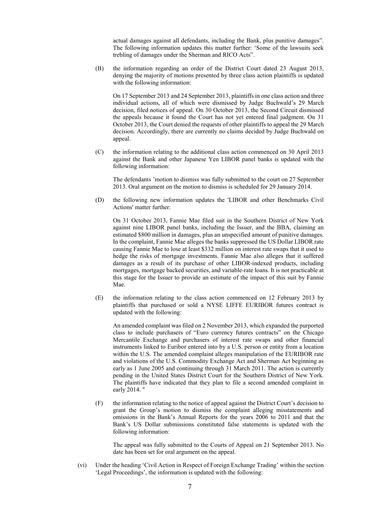actual damages against all defendants, including the Bank, plus punitive damages". The following information updates this matter further: 'Some of the lawsuits seek trebling of damages under the Sherman and RICO Acts".

the information regarding an order of the District Court dated 23 August 2013, (B) denying the majority of motions presented by three class action plaintiffs is updated with the following information:

On 17 September 2013 and 24 September 2013, plaintiffs in one class action and three individual actions, all of which were dismissed by Judge Buchwald's 29 March decision, filed notices of appeal. On 30 October 2013, the Second Circuit dismissed the appeals because it found the Court has not yet entered final judgment. On 31 October 2013, the Court denied the requests of other plaintiffs to appeal the 29 March decision. Accordingly, there are currently no claims decided by Judge Buchwald on appeal.

 $(C)$ the information relating to the additional class action commenced on 30 April 2013 against the Bank and other Japanese Yen LIBOR panel banks is updated with the following information:

The defendants 'motion to dismiss was fully submitted to the court on 27 September 2013. Oral argument on the motion to dismiss is scheduled for 29 January 2014.

the following new information updates the 'LIBOR and other Benchmarks Civil (D) Actions' matter further:

On 31 October 2013, Fannie Mae filed suit in the Southern District of New York against nine LIBOR panel banks, including the Issuer, and the BBA, claiming an estimated \$800 million in damages, plus an unspecified amount of punitive damages. In the complaint. Fannie Mae alleges the banks suppressed the US Dollar LIBOR rate causing Fannie Mae to lose at least \$332 million on interest rate swaps that it used to hedge the risks of mortgage investments. Fannie Mae also alleges that it suffered damages as a result of its purchase of other LIBOR-indexed products, including mortgages, mortgage backed securities, and variable-rate loans. It is not practicable at this stage for the Issuer to provide an estimate of the impact of this suit by Fannie Mae

the information relating to the class action commenced on 12 February 2013 by  $(E)$ plaintiffs that purchased or sold a NYSE LIFFE EURIBOR futures contract is updated with the following:

An amended complaint was filed on 2 November 2013, which expanded the purported class to include purchasers of "Euro currency futures contracts" on the Chicago Mercantile Exchange and purchasers of interest rate swaps and other financial instruments linked to Euribor entered into by a U.S. person or entity from a location within the U.S. The amended complaint alleges manipulation of the EURIBOR rate and violations of the U.S. Commodity Exchange Act and Sherman Act beginning as early as 1 June 2005 and continuing through 31 March 2011. The action is currently pending in the United States District Court for the Southern District of New York. The plaintiffs have indicated that they plan to file a second amended complaint in early 2014. "

 $(F)$ the information relating to the notice of appeal against the District Court's decision to grant the Group's motion to dismiss the complaint alleging misstatements and omissions in the Bank's Annual Reports for the years 2006 to 2011 and that the Bank's US Dollar submissions constituted false statements is updated with the following information:

The appeal was fully submitted to the Courts of Appeal on 21 September 2013. No date has been set for oral argument on the appeal.

Under the heading 'Civil Action in Respect of Foreign Exchange Trading' within the section  $(vi)$ 'Legal Proceedings', the information is updated with the following: